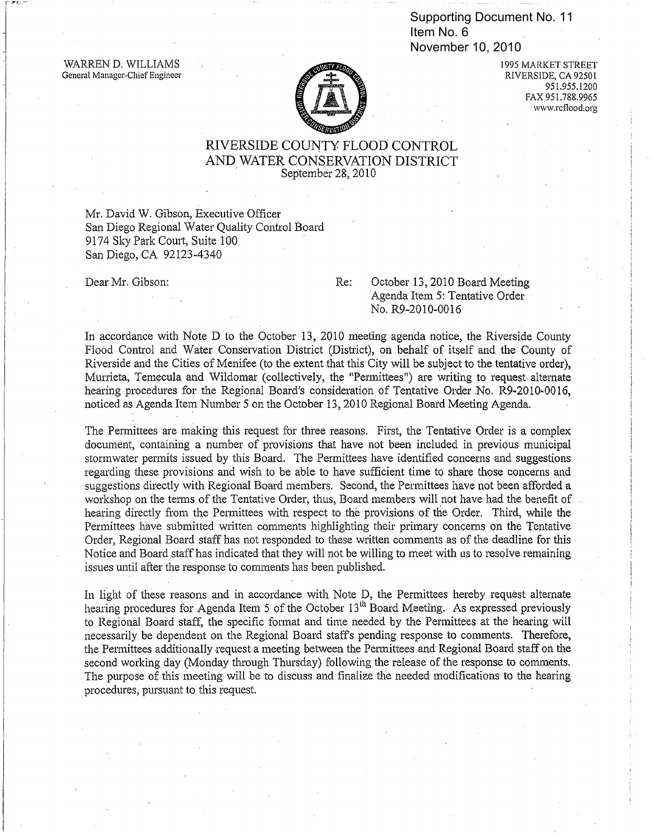Item No. 6 November 10, 2010

WARREN D. WILLIAMS General Manager-Chief Engineer



1995 MARKET STREET RIVERSIDE, CA 92501 951.955.1200 FAX 951.788.9965 www.rcflood.org

## RIVERSIDE COUNTY FLOOD CONTROL AND WATER CONSERVATION DISTRICT<br>
September 28, 2010

Mr. David W. Gibson, Executive Officer San Diego Regional Water Ouality Control Board 9174 Sky Park Court, Suite 100 San Diego, CA 92123-4340

Dear Mr. Gibson: Re: October 13,2010 Board Meeting Agenda Item 5: Tentative Order No. R9-2010-00l6

In accordance with Note D to the October 13, 2010 meeting agenda notice, the Riverside County Flood Control and Water Conservation District (District), on behalf of itself and the County of Riverside and the Cities of Menifee (to the extent that this City will be subject to the tentative order), Murrieta, Temecula and Wildomar (collectively, the "Permittees") are writing to request, alternate hearing procedures for the Regional Board's consideration of Tentative Order .No. R9-2010 .0016, noticed as Agenda Item Number 5 on the October 13, 2010 Regional Board Meeting Agenda. Supporting Document No. 11<br>
Hem No. 6<br>
November 10, 2010<br>
November 10, 2010<br>
PAVERSIDE, CAS<br>
PAX991.788<br>
EXTERISIDE COUNTY FLOOD CONTROL<br>
AND WATER CONSERVATION DISTRICT<br>
September 28, 2010<br>
PALE MATER CONSERVATION DISTRIC

The Permittees are making this request for three reasons. First, the Tentative Order is a complex document, containing a number of provisions that have not been included in previous municipal stormwater permits issued by this Board. The Permittees have identified concerns and suggestions regarding these provisions and wish to be able to have sufficient time to share those concerns and suggestions directly with Regional Board members. Second, the Permittees have not been afforded a workshop on the terms of the Tentative Order, thus, Board members will not have had the benefit of hearing directly from the Permittees with respect to the provisions of the Order. Third, while the Permittees have submitted written comments highlighting their primary concerns on the Tentative Order, Regional Board staff has not responded to these written comments as of the deadline for this Notice and Board staff has indicated that they will not be willing to meet with us to resolve remaining issues until after the response to comments has been published.

In light of these reasons and in accordance with Note D, the Permittees hereby request alternate hearing procedures for Agenda Item 5 of the October  $13<sup>th</sup>$  Board Meeting. As expressed previously to Regional Board staff, the specific format and time needed by the Permittees at the hearing will necessarily be dependent on the Regional Board staffs pending response to comments. Therefore, the Permittees additionally ·request a meeting between the Permittees and Regional Board staff on the second working day (Monday through Thursday) following the release of the response to comments. The purpose of this meeting will be to discuss and finalize the needed modifications to the hearing procedures, pursuant to this request.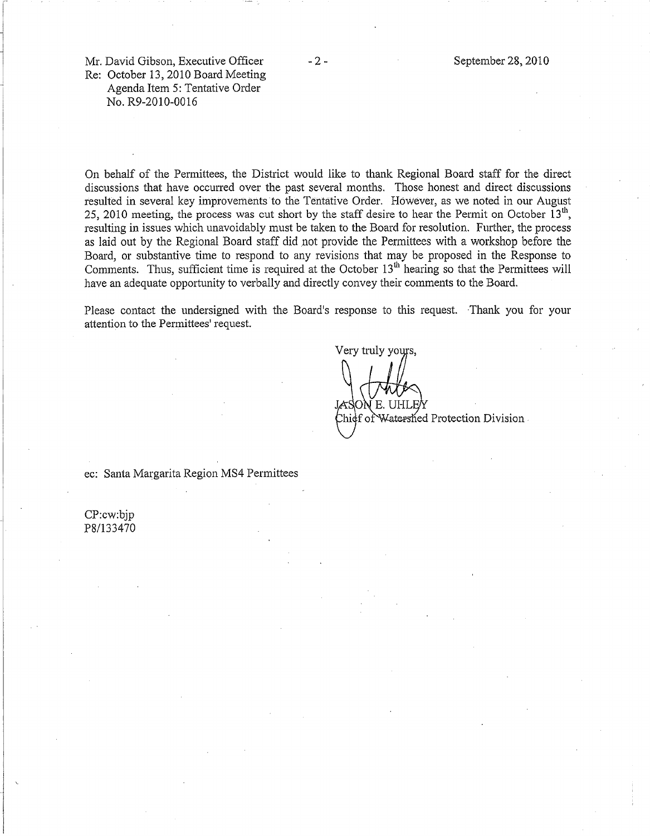Mr. David Gibson, Executive Officer Re: October 13,2010 Board Meeting Agenda Item 5: Tentative Order No. R9-2010-0016

On behalf of the Permittees, the District would like to thank Regional Board staff for the direct disoussions that have occurred over the past several months. Those honest and direct discussions resulted in several key improvements to the Tentative Order. However, as we noted in our August 25, 2010 meeting, the process was cut short by the staff desire to hear the Permit on October  $13<sup>th</sup>$ , resulting in issues which unavoidably must be taken to the Board for resolution. Further, the process as laid out by the Regional Board staff did not provide the Permittees with a workshop before the Board, or substantive time to respond to any revisions that may be proposed in the Response to Comments. Thus, sufficient time is required at the October  $13<sup>th</sup>$  hearing so that the Permittees will have an adequate opportunity to verbally and directly convey their comments to the Board.

Please contact the undersigned with the Board's response to this request. Thank you for your attention to the Permittees' request.

Very truly yours.  $E$ Watershed Protection Division

ec: Santa Margarita Region MS4 Permittees

CP:cw:bjp P81133470